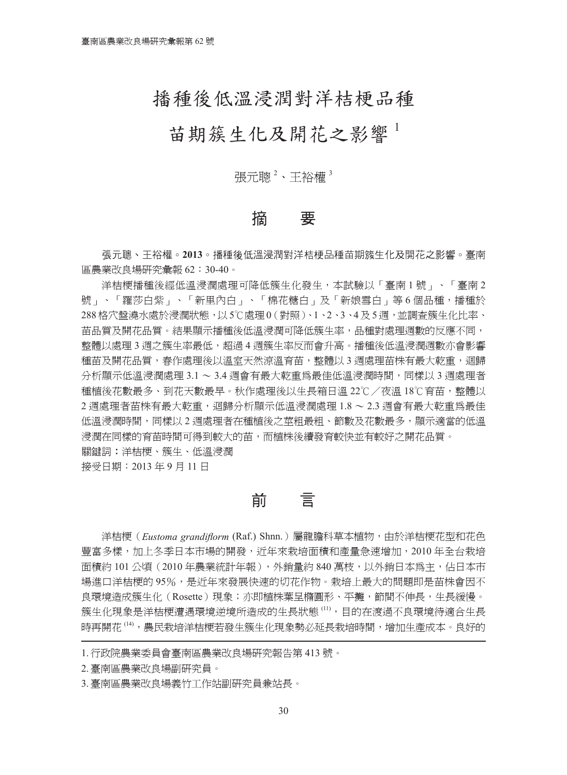# 播種後低溫浸潤對洋桔梗品種

# 苗期簇生化及開花之影響<sup>1</sup>

張元聰<sup>2</sup>、王裕權<sup>3</sup>

## 摘 要

張元聰、王裕權。**2013**。播種後低溫浸潤對洋桔梗品種苗期簇生化及開花之影響。臺南 區農業改良場研究彙報 62:30-40。

洋桔梗播種後經低溫浸潤處理可降低簇生化發生,本試驗以「臺南 1 號」、「臺南 2 號」、「羅莎白紫」、「新里內白」、「棉花糖白」及「新娘雪白」等6個品種,播種於 288格穴盤溝水處於浸潤狀態,以5℃處理0(對照)、1、2、3、4及5週,並調查簇生化比率、 苗品質及開花品質。結果顯示播種後低溫浸潤可降低簇生率,品種對處理週數的反應不同, 整體以處理 3 週之簇生率最低,超過 4 週簇生率反而會升高。播種後低溫浸潤潤數亦會影響 種苗及開花品質,春作處理後以溫室天然涼溫育苗,整體以 3 週處理苗株有最大乾重,迴歸 分析顯示低溫浸潤處理 3.1 ~ 3.4 週會有最大乾重為最佳低溫浸潤時間,同樣以 3 週處理者 種植後花數最多、到花天數最早。秋作處理後以生長箱日溫 22℃/夜溫 18℃育苗,整體以 2 週處理者苗株有最大乾重,迴歸分析顯示低溫浸潤處理 1.8 ~ 2.3 週會有最大乾重為最佳 低溫浸潤時間,同樣以 2 週處理者在種植後之莖粗最粗、節數及花數最多,顯示適當的低溫 浸潤在同樣的育苗時間可得到較大的苗,而植株後續發育較快並有較好之開花品質。 關鍵詞:洋桔梗、簇生、低溫浸潤

接受日期:2013 年 9 月 11 日

前 言

洋桔梗(*Eustoma grandiflorm* (Raf.) Shnn.)屬龍膽科草本植物,由於洋桔梗花型和花色 豐富多樣,加上冬季日本市場的開發,近年來栽培面積和產量急速增加,2010 年全台栽培 面積約 101 公頃 (2010 年農業統計年報), 外銷量約 840 萬枝, 以外銷日本為主, 佔日本市 場進口洋桔梗的95%,是近年來發展快速的切花作物。栽培上最大的問題即是苗株會因不 良環境造成簇生化(Rosette)現象;亦即植株葉呈橢圓形、平攤,節間不伸長,生長緩慢。 簇生化現象是洋桔梗遭遇環境逆境所造成的生長狀態 <sup>(11)</sup>,目的在渡過不良環境待適合生長 時再開花 <sup>(14)</sup>,農民栽培洋桔梗若發生簇生化現象勢必延長栽培時間,增加生產成本。良好的

3.臺南區農業改良場義竹工作站副研究員兼站長。

<sup>1.</sup>行政院農業委員會臺南區農業改良場研究報告第 413 號。

<sup>2.</sup>臺南區農業改良場副研究員。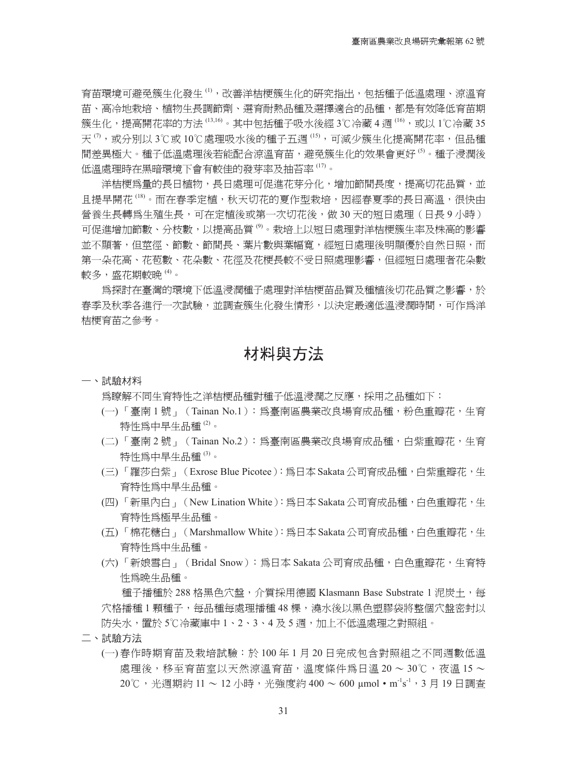育苗環境可避免簇生化發生 <sup>(1)</sup>,改善洋桔梗簇生化的研究指出,包括種子低溫處理、涼溫育 苗、高冷地栽培、植物生長調節劑、選育耐熱品種及選擇適合的品種,都是有效降低育苗期 簇生化,提高開花率的方法 <sup>(13,16)</sup>。其中包括種子吸水後經 3℃冷藏 4 週 <sup>(16)</sup>,或以 1℃冷藏 35 天 <sup>⑦</sup>,或分別以 3℃或 10℃處理吸水後的種子五週 <sup>(15)</sup>,可減少簇生化提高開花率,但品種 間差異極大。種子低溫處理後若能配合涼溫育苗,避免簇生化的效果會更好 <sup>6)</sup>。種子浸潤後 低溫處理時在黑暗環境下會有較佳的發芽率及抽苔率 <sup>(17)</sup>。

洋桔梗為量的長日植物,長日處理可促進花芽分化,增加節間長度,提高切花品質,並 且提早開花 <sup>(18)</sup>。而在春季定植,秋天切花的夏作型栽培,因經春夏季的長日高溫,很快由 營養生長轉為生殖生長,可在定植後或第一次切花後,做 30 天的短日處理(日長 9 小時) 可促進增加節數、分枝數,以提高品質 <sup>(9)</sup>。栽培上以短日處理對洋桔梗簇生率及株高的影響 並不顯著,但莖徑、節數、節間長、葉片數與葉幅寬,經短日處理後明顯優於自然日照,而 第一朵花高、花苞數、花朵數、花徑及花梗長較不受日照處理影響,但經短日處理者花朵數 較多,盛花期較晩 <sup>⑷</sup>。

為探討在臺灣的環境下低溫浸潤種子處理對洋桔梗苗品質及種植後切花品質之影響,於 春季及秋季各進行一次試驗,並調查簇生化發生情形,以決定最適低溫浸潤時間,可作為洋 桔梗育苗之參考。

## 材料與方法

#### 一、試驗材料

為瞭解不同生育特性之洋桔梗品種對種子低溫浸潤之反應,採用之品種如下:

- (一) 「臺南 1 號」(Tainan No.1):為臺南區農業改良場育成品種,粉色重瓣花,生育 特性爲中早生品種 <sup>⑵</sup>。
- (二) 「臺南 2 號」(Tainan No.2):為臺南區農業改良場育成品種,白紫重瓣花,生育 特性爲中早生品種 <sup>(3)</sup>。
- (三) 「羅莎白紫」(Exrose Blue Picotee):為日本 Sakata 公司育成品種,白紫重瓣花,生 育特性為中早生品種。
- (四) 「新里內白」(New Lination White):為日本 Sakata 公司育成品種,白色重瓣花,生 育特性為極早生品種。
- (五) 「棉花糖白」(Marshmallow White):為日本 Sakata 公司育成品種,白色重瓣花,生 育特性為中生品種。
- (六) 「新娘雪白」(Bridal Snow):為日本 Sakata 公司育成品種,白色重瓣花,生育特 性為晚生品種。

種子播種於 288 格黑色穴盤,介質採用德國 Klasmann Base Substrate 1 泥炭土,每 穴格播種 1 顆種子,每品種每處理播種 48 棵,澆水後以黑色塑膠袋將整個穴盤密封以 防失水,置於 5℃冷藏庫中 1、2、3、4 及 5 週,加上不低溫處理之對照組。

- 二、試驗方法
	- (一) 春作時期育苗及栽培試驗:於 100 年 1 月 20 日完成包含對照組之不同週數低溫 處理後,移至育苗室以天然涼溫育苗,溫度條件為日溫 20 ~ 30℃,夜溫 15 ~ 20℃,光週期約 11 ~ 12 小時,光強度約 400 ~ 600 μmol・m's'',3 月 19 日調查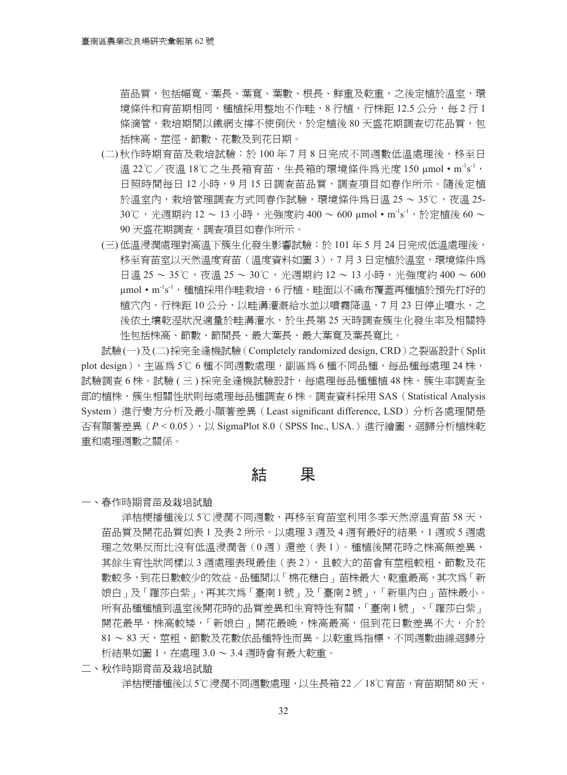苗品質,包括幅寬、葉長、葉寬、葉數、根長、鮮重及乾重,之後定植於溫室,環 境條件和育苗期相同,種植採用整地不作畦,8 行植,行株距 12.5 公分,每 2 行 1 條滴管,栽培期間以鐵網支撐不使倒伏,於定植後 80 天盛花期調查切花品質,包 括株高、莖徑、節數、花數及到花日期。

- (二) 秋作時期育苗及栽培試驗:於 100 年 7 月 8 日完成不同週數低溫處理後,移至日 溫 22℃/夜溫 18℃之生長箱育苗,生長箱的環境條件為光度 150 μmol•m<sup>-l</sup>s<sup>-1</sup>, 日照時間每日12小時,9月15日調査苗品質,調査項目如春作所示。隨後定植 於溫室內,栽培管理調查方式同春作試驗,環境條件為日溫 25 ~ 35℃,夜溫 25- 30℃,光週期約 12 ~ 13 小時,光強度約 400 ~ 600 μmol・m's',於定植後 60 ~ 90 天盛花期調查,調查項目如春作所示。
- (三) 低溫浸潤處理對高溫下簇生化發生影響試驗:於 101 年 5 月 24 日完成低溫處理後, 移至育苗室以天然溫度育苗(溫度資料如圖 3),7月 3 日定植於溫室,環境條件為 日溫 25 ~ 35℃,夜溫 25 ~ 30℃,光週期約 12 ~ 13 小時,光強度約 400 ~ 600 μmol•m's',種植採用作畦栽培,6 行植,畦面以不織布覆蓋再種植於預先打好的 植穴內,行株距 10 公分,以畦溝灌溉給水並以噴霧降溫,7 月 23 日停止噴水,之 後依土壤乾溼狀況適量於畦溝灌水,於生長第 25 天時調査簇生化發生率及相關特 性包括株高、節數、節間長、最大葉長、最大葉寬及葉長寬比。

試驗(一)及(二)採完全逢機試驗(Completely randomized design, CRD)之裂區設計(Split plot design),主區為 5℃ 6 種不同週數處理,副區為 6 種不同品種,每品種每處理 24 株, 試驗調杳 6 株。試驗 (三) 採完全逢機試驗設計,每處理每品種種植 48 株,簇生率調杳全 部的植株,簇生相關性狀則每處理每品種調查 6 株。調查資料採用 SAS(Statistical Analysis System)進行變方分析及最小顯著差異(Least significant difference, LSD)分析各處理間是 否有顯著差異(*P* < 0.05),以 SigmaPlot 8.0(SPSS Inc., USA.)進行繪圖,迴歸分析植株乾 重和處理週數之關係。

### 結 果

一、春作時期育苗及栽培試驗

洋桔梗播種後以 5℃浸潤不同週數,再移至育苗室利用冬季天然涼溫育苗 58 天, 苗品質及開花品質如表 1 及表 2 所示。以處理 3 週及 4 週有最好的結果,1 週或 5 週處 理之效果反而比沒有低溫浸潤者(0週)還差(表1)。種植後開花時之株高無差異, 其餘生育性狀同樣以 3 週處理表現最佳(表 2),且較大的苗會有莖粗較粗、節數及花 數較多,到花日數較少的效益。品種間以「棉花糖白」苗株最大,乾重最高,其次為「新 娘白」及「羅莎白紫」,再其次為「臺南 1 號」及「臺南 2 號」,「新里內白」苗株最小。 所有品種種植到溫室後開花時的品質差異和生育特性有關,「臺南1號」、「羅莎白紫」 開花最早,株高較矮,「新娘白」開花最晩,株高最高,但到花日數差異不大,介於  $81 \sim 83$ 天,莖粗、節數及花數依品種特性而異。以乾重爲指標,不同週數曲線迴歸分 析結果如圖 1,在處理 3.0 ~ 3.4 週時會有最大乾重。

二、秋作時期育苗及栽培試驗

洋桔梗播種後以5℃浸潤不同週數處理,以生長箱22/18℃育苗,育苗期間80天,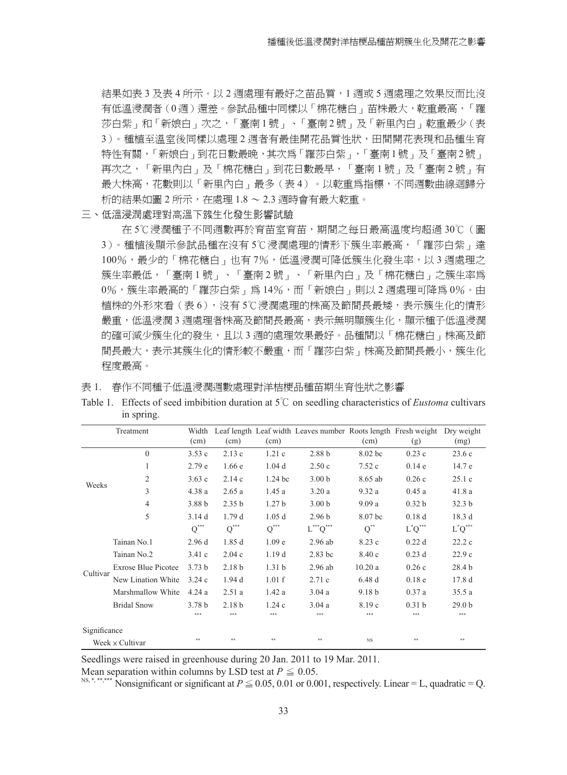結果如表 3 及表 4 所示。以 2 週處理有最好之苗品質,1 週或 5 週處理之效果反而比沒 有低溫浸潤者(0週)還差。參試品種中同樣以「棉花糖白」苗株最大,乾重最高,「羅 莎白紫」和「新娘白」次之,「臺南1號」、「臺南2號」及「新里內白」乾重最少(表 3)。種植至溫室後同樣以處理 2 週者有最佳開花品質性狀,田間開花表現和品種生育 特性有關,「新娘白」到花日數最晩,其次為「羅莎白紫」,「臺南1號」及「臺南2號」 再次之,「新里內白」及「棉花糖白」到花日數最早,「臺南 1 號」及「臺南 2 號」有 最大株高,花數則以「新里內白」最多(表4)。以乾重為指標,不同週數曲線迴歸分 析的結果如圖 2 所示,在處理 1.8 ~ 2.3 週時會有最大乾重。

#### 三、低溫浸潤處理對高溫下簇生化發生影響試驗

在 5℃浸潤種子不同週數再於育苗室育苗,期間之每日最高溫度均超過 30℃(圖 3)。種植後顯示參試品種在沒有5℃浸潤處理的情形下簇生率最高,「羅莎白紫」達 100%,最少的「棉花糖白」也有7%,低溫浸潤可降低簇生化發生率,以3週處理之 簇生率最低,「臺南 1 號」、「臺南 2 號」、「新里內白」及「棉花糖白」之簇生率為 0%, 簇生率最高的「羅莎白紫」為 14%, 而「新娘白」則以 2 週處理可降為 0%。由 植株的外形來看 (表 6),沒有 5℃浸潤處理的株高及節間長最矮,表示簇生化的情形 嚴重,低溫浸潤 3 週處理者株高及節間長最高,表示無明顯簇生化,顯示種子低溫浸潤 的確可減少簇生化的發生,且以 3 週的處理效果最好。品種間以「棉花糖白」株高及節 間長最大,表示其簇生化的情形較不嚴重,而「羅莎白紫」株高及節間長最小,簇生化 程度最高。

表 1. 春作不同種子低溫浸潤週數處理對洋桔梗品種苗期生育性狀之影響

Table 1. Effects of seed imbibition duration at 5℃ on seedling characteristics of *Eustoma* cultivars in spring.

|              | Treatment                  | Width<br>(cm)      | (cm)              | (cm)               | Leaf length Leaf width Leaves number Roots length Fresh weight | (cm)              | (g)               | Dry weight<br>(mg) |
|--------------|----------------------------|--------------------|-------------------|--------------------|----------------------------------------------------------------|-------------------|-------------------|--------------------|
|              | $\mathbf{0}$               | 3.53c              | 2.13c             | 1.21c              | 2.88 <sub>b</sub>                                              | 8.02 bc           | 0.23c             | 23.6c              |
|              | 1                          | 2.79e              | 1.66e             | 1.04 <sub>d</sub>  | 2.50c                                                          | 7.52c             | 0.14e             | 14.7 e             |
|              | $\overline{2}$             | 3.63c              | 2.14c             | 1.24 <sub>bc</sub> | 3.00 <sub>b</sub>                                              | 8.65 ab           | 0.26c             | 25.1c              |
| Weeks        | 3                          | 4.38a              | 2.65a             | 1.45a              | 3.20a                                                          | 9.32a             | 0.45a             | 41.8 a             |
|              | $\overline{4}$             | 3.88 <sub>b</sub>  | 2.35 <sub>b</sub> | 1.27 <sub>b</sub>  | 3.00 <sub>b</sub>                                              | 9.09a             | 0.32 <sub>b</sub> | 32.3 <sub>b</sub>  |
|              | 5                          | 3.14d              | 1.79d             | 1.05d              | 2.96 <sub>b</sub>                                              | 8.07 bc           | 0.18d             | 18.3 d             |
|              |                            | $\textbf{Q}^{***}$ | $Q^{***}$         | $\textbf{Q}^{***}$ | $L^{***}Q^{***}$                                               | $Q^{**}$          | $L^*Q^*$          | $L^*Q^{***}$       |
|              | Tainan No.1                | 2.96d              | 1.85d             | 1.09 <sub>e</sub>  | $2.96$ ab                                                      | 8.23 c            | 0.22d             | 22.2c              |
|              | Tainan No.2                | 3.41c              | 2.04c             | 1.19d              | 2.83 bc                                                        | 8.40c             | $0.23$ d          | 22.9c              |
| Cultivar     | <b>Exrose Blue Picotee</b> | 3.73 <sub>b</sub>  | 2.18 <sub>b</sub> | 1.31 <sub>b</sub>  | $2.96$ ab                                                      | 10.20a            | 0.26c             | 28.4 b             |
|              | New Lination White         | 3.24c              | 1.94d             | 1.01 f             | 2.71c                                                          | 6.48d             | 0.18 <sub>e</sub> | 17.8 <sub>d</sub>  |
|              | Marshmallow White          | 4.24a              | 2.51a             | 1.42a              | 3.04a                                                          | 9.18 <sub>b</sub> | 0.37a             | 35.5a              |
|              | <b>Bridal Snow</b>         | 3.78 <sub>b</sub>  | 2.18 <sub>b</sub> | 1.24c              | 3.04a                                                          | 8.19 c            | 0.31 <sub>b</sub> | 29.0 <sub>b</sub>  |
|              |                            | ***                | ***               | ***                | ***                                                            | ***               | ***               | ***                |
| Significance |                            |                    |                   |                    |                                                                |                   |                   |                    |
|              | Week x Cultivar            | **                 | **                | **                 | **                                                             | NS.               | **                | **                 |

Seedlings were raised in greenhouse during 20 Jan. 2011 to 19 Mar. 2011.

Mean separation within columns by LSD test at  $P \leq 0.05$ .

<sup>NS,\*,\*\*\*\*\*\*</sup> Nonsignificant or significant at  $P \le 0.05$ , 0.01 or 0.001, respectively. Linear = L, quadratic = Q.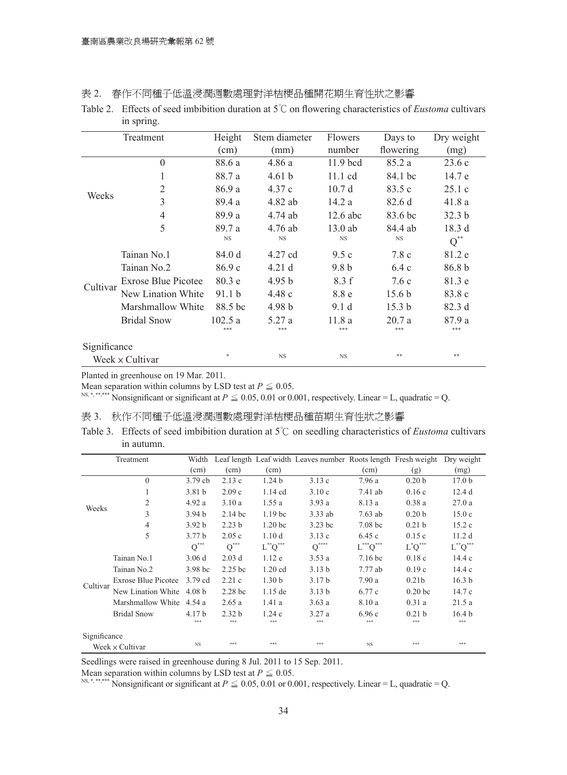表 2. 春作不同種子低溫浸潤週數處理對洋桔梗品種開花期生育性狀之影響

Table 2. Effects of seed imbibition duration at 5℃on flowering characteristics of *Eustoma* cultivars in spring.

|              | Treatment           | Height            | Stem diameter     | <b>Flowers</b>   | Days to           | Dry weight        |
|--------------|---------------------|-------------------|-------------------|------------------|-------------------|-------------------|
|              |                     | (cm)              | (mm)              | number           | flowering         | (mg)              |
|              | $\theta$            | 88.6 a            | 4.86a             | $11.9$ bcd       | 85.2 a            | 23.6c             |
| Weeks        | 1                   | 88.7 a            | 4.61 <sub>b</sub> | 11.1 cd          | 84.1 bc           | 14.7 e            |
|              | $\overline{2}$      | 86.9 a            | 4.37c             | 10.7d            | 83.5c             | 25.1c             |
|              | 3                   | 89.4 a            | 4.82 ab           | 14.2 a           | 82.6d             | 41.8a             |
|              | $\overline{4}$      | 89.9 a            | 4.74 ab           | $12.6$ abc       | 83.6 bc           | 32.3 <sub>b</sub> |
|              | 5                   | 89.7 a            | 4.76 ab           | $13.0$ ab        | 84.4 ab           | 18.3d             |
|              |                     | <b>NS</b>         | <b>NS</b>         | <b>NS</b>        | <b>NS</b>         | $Q^{**}$          |
|              | Tainan No.1         | 84.0 d            | 4.27 cd           | 9.5c             | 7.8c              | 81.2 e            |
|              | Tainan No.2         | 86.9c             | 4.21d             | 9.8 <sub>b</sub> | 6.4c              | 86.8 <sub>b</sub> |
|              | Exrose Blue Picotee | 80.3e             | 4.95 <sub>b</sub> | 8.3 f            | 7.6c              | 81.3 e            |
| Cultivar     | New Lination White  | 91.1 <sub>b</sub> | 4.48c             | 8.8 e            | 15.6 <sub>b</sub> | 83.8 c            |
|              | Marshmallow White   | 88.5 bc           | 4.98 <sub>b</sub> | 9.1 <sub>d</sub> | 15.3 <sub>b</sub> | 82.3d             |
|              | <b>Bridal Snow</b>  | 102.5 a           | 5.27 a            | 11.8a            | 20.7a             | 87.9a             |
|              |                     | ***               | ***               | ***              | ***               | ***               |
| Significance |                     |                   |                   |                  |                   |                   |
|              | Week x Cultivar     | $\ast$            | <b>NS</b>         | <b>NS</b>        | **                | $* *$             |

Planted in greenhouse on 19 Mar. 2011.

Mean separation within columns by LSD test at  $P \leq 0.05$ .

<sup>NS,\*,\*\*\*\*\*\*</sup> Nonsignificant or significant at  $P \le 0.05$ , 0.01 or 0.001, respectively. Linear = L, quadratic = Q.

表 3. 秋作不同種子低溫浸潤週數處理對洋桔梗品種苗期生育性狀之影響

Table 3. Effects of seed imbibition duration at 5℃ on seedling characteristics of *Eustoma* cultivars in autumn.

|              | Treatment                | Width              |                    |                    | Leaf length Leaf width Leaves number Roots length Fresh weight |                                    |                    | Dry weight        |
|--------------|--------------------------|--------------------|--------------------|--------------------|----------------------------------------------------------------|------------------------------------|--------------------|-------------------|
|              |                          | (cm)               | (cm)               | (cm)               |                                                                | (cm)                               | (g)                | (mg)              |
|              | $\theta$                 | 3.79cb             | 2.13c              | 1.24 <sub>b</sub>  | 3.13c                                                          | 7.96 a                             | 0.20 <sub>b</sub>  | 17.0 <sub>b</sub> |
| Weeks        | 1                        | 3.81 <sub>b</sub>  | 2.09c              | $1.14$ cd          | 3.10c                                                          | $7.41$ ab                          | 0.16c              | 12.4d             |
|              | $\overline{2}$           | 4.92a              | 3.10a              | 1.55a              | 3.93a                                                          | 8.13 a                             | 0.38a              | 27.0a             |
|              | 3                        | 3.94 h             | $2.14$ bc          | 1.19 <sub>bc</sub> | $3.33$ ab                                                      | $7.63$ ab                          | 0.20 <sub>b</sub>  | 15.0c             |
|              | $\overline{4}$           | 3.92 <sub>b</sub>  | 2.23 <sub>b</sub>  | 1.20 <sub>bc</sub> | $3.23$ bc                                                      | 7.08 <sub>bc</sub>                 | 0.21 <sub>b</sub>  | 15.2c             |
|              | 5                        | 3.77 <sub>b</sub>  | 2.05c              | 1.10 <sub>d</sub>  | 3.13c                                                          | 6.45c                              | 0.15c              | 11.2d             |
|              |                          | $\textbf{Q}^{***}$ | $Q^{\ast\ast\ast}$ | $L^{**}Q^{***}$    | $Q^{***}$                                                      | $L^{\ast\ast\ast}Q^{\ast\ast\ast}$ | $L^*Q^*$           | $L^{**}Q^{***}$   |
|              | Tainan No.1              | 3.06d              | $2.03$ d           | 1.12e              | 3.53a                                                          | 7.16 <sub>bc</sub>                 | 0.18c              | 14.4c             |
|              | Tainan No.2              | 3.98 <sub>bc</sub> | $2.25$ bc          | $1.20$ cd          | 3.13 <sub>b</sub>                                              | 7.77ab                             | 0.19c              | 14.4c             |
|              | Exrose Blue Picotee      | 3.79 cd            | 2.21c              | 1.30 <sub>b</sub>  | 3.17 <sub>b</sub>                                              | 7.90a                              | 0.21 <sub>b</sub>  | 16.3 <sub>b</sub> |
| Cultivar     | New Lination White       | 4.08 <sub>b</sub>  | 2.28 <sub>bc</sub> | $1.15$ de          | 3.13 <sub>b</sub>                                              | 6.77 c                             | 0.20 <sub>bc</sub> | 14.7c             |
|              | Marshmallow White 4.54 a |                    | 2.65a              | 1.41a              | 3.63a                                                          | 8.10 a                             | 0.31a              | 21.5a             |
|              | <b>Bridal Snow</b>       | 4.17 b             | 2.32 <sub>b</sub>  | 1.24c              | 3.27a                                                          | 6.96c                              | 0.21 h             | 16.4 <sub>b</sub> |
|              |                          | ***                | ***                | ***                | ***                                                            | ***                                | ***                | ***               |
| Significance |                          |                    |                    |                    |                                                                |                                    |                    |                   |
|              | Week x Cultivar          | <b>NS</b>          | ***                | ***                | ***                                                            | NS.                                | ***                | ***               |

Seedlings were raised in greenhouse during 8 Jul. 2011 to 15 Sep. 2011.

Mean separation within columns by LSD test at  $P \leq 0.05$ .

<sup>NS,\*,\*\*\*\*\*</sup> Nonsignificant or significant at  $P \le 0.05$ , 0.01 or 0.001, respectively. Linear = L, quadratic = Q.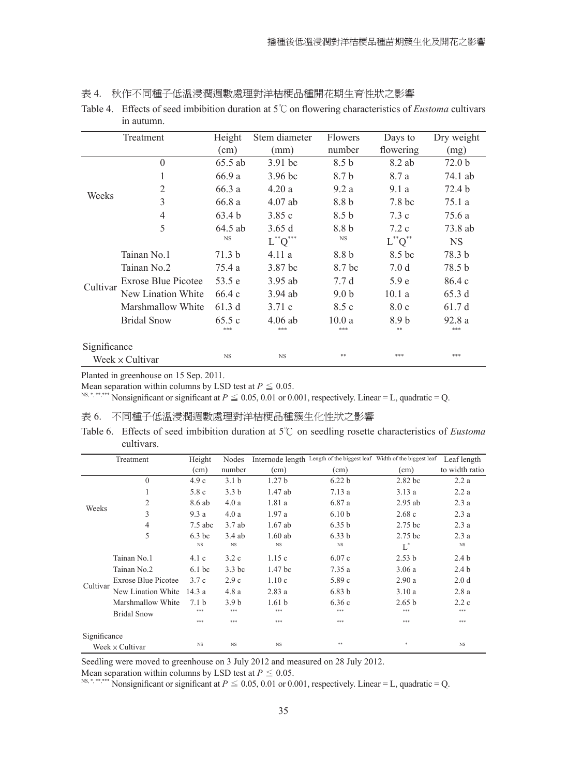| 表 4. |  | 秋作不同種子低溫浸潤週數處理對洋桔梗品種開花期生育性狀之影響 |  |  |  |  |
|------|--|--------------------------------|--|--|--|--|
|------|--|--------------------------------|--|--|--|--|

| Table 4. Effects of seed imbibition duration at $5^{\circ}$ on flowering characteristics of <i>Eustoma</i> cultivars |  |
|----------------------------------------------------------------------------------------------------------------------|--|
| in autumn.                                                                                                           |  |

|              | Treatment                  | Height            | Stem diameter   | Flowers          | Days to        | Dry weight        |
|--------------|----------------------------|-------------------|-----------------|------------------|----------------|-------------------|
|              |                            | (cm)              | (mm)            | number           | flowering      | (mg)              |
|              | $\theta$                   | 65.5 ab           | $3.91$ bc       | 8.5 <sub>b</sub> | 8.2 ab         | 72.0 <sub>b</sub> |
| Weeks        | 1                          | 66.9 a            | $3.96$ bc       | 8.7 b            | 8.7 a          | 74.1 ab           |
|              | $\overline{2}$             | 66.3a             | 4.20a           | 9.2a             | 9.1a           | 72.4 b            |
|              | 3                          | 66.8 a            | $4.07$ ab       | 8.8 b            | 7.8 bc         | 75.1 a            |
|              | 4                          | 63.4 <sub>b</sub> | 3.85c           | 8.5 <sub>b</sub> | 7.3c           | 75.6 a            |
|              | 5                          | $64.5$ ab         | 3.65d           | 8.8 b            | 7.2c           | 73.8 ab           |
|              |                            | <b>NS</b>         | $L^{**}Q^{***}$ | <b>NS</b>        | $L^{**}Q^{**}$ | NS                |
|              | Tainan No.1                | 71.3 b            | 4.11a           | 8.8 b            | 8.5 bc         | 78.3 b            |
|              | Tainan No.2                | 75.4 a            | 3.87 bc         | 8.7 bc           | 7.0 d          | 78.5 b            |
|              | <b>Exrose Blue Picotee</b> | 53.5 e            | $3.95$ ab       | 7.7d             | 5.9e           | 86.4c             |
| Cultivar     | New Lination White         | 66.4c             | $3.94$ ab       | 9.0 <sub>b</sub> | 10.1a          | 65.3d             |
|              | Marshmallow White          | 61.3d             | 3.71c           | 8.5 c            | 8.0c           | 61.7d             |
|              | <b>Bridal Snow</b>         | 65.5c             | $4.06$ ab       | 10.0a            | 8.9 b          | 92.8a             |
|              |                            | ***               | ***             | ***              | **             | ***               |
| Significance |                            |                   |                 |                  |                |                   |
|              | Week $\times$ Cultivar     | <b>NS</b>         | $_{\rm NS}$     | **               | ***            | ***               |

Planted in greenhouse on 15 Sep. 2011.

Mean separation within columns by LSD test at  $P \leq 0.05$ .

<sup>NS,\*,\*\*\*\*\*\*</sup> Nonsignificant or significant at  $P \le 0.05$ , 0.01 or 0.001, respectively. Linear = L, quadratic = Q.

表 6. 不同種子低溫浸潤週數處理對洋桔梗品種簇生化性狀之影響

Table 6. Effects of seed imbibition duration at 5℃ on seedling rosette characteristics of *Eustoma* cultivars.

|              | Treatment                               | Height                  | Nodes                   |                          | Internode length Length of the biggest leaf Width of the biggest leaf |                          | Leaf length       |
|--------------|-----------------------------------------|-------------------------|-------------------------|--------------------------|-----------------------------------------------------------------------|--------------------------|-------------------|
|              |                                         | (cm)                    | number                  | (cm)                     | (cm)                                                                  | (cm)                     | to width ratio    |
|              | $\theta$                                | 4.9c                    | 3.1 <sub>b</sub>        | 1.27 <sub>b</sub>        | 6.22 <sub>b</sub>                                                     | 2.82 bc                  | 2.2a              |
|              | 1                                       | 5.8 c                   | 3.3 <sub>b</sub>        | 1.47 ab                  | 7.13a                                                                 | 3.13a                    | 2.2a              |
|              | $\overline{2}$                          | 8.6 ab                  | 4.0a                    | 1.81 a                   | 6.87 a                                                                | $2.95$ ab                | 2.3a              |
| Weeks        | 3                                       | 9.3a                    | 4.0a                    | 1.97a                    | 6.10 <sub>b</sub>                                                     | 2.68c                    | 2.3a              |
|              | 4                                       | $7.5$ abc               | 3.7ab                   | $1.67$ ab                | 6.35 <sub>b</sub>                                                     | 2.75 bc                  | 2.3a              |
|              | 5                                       | $6.3$ bc<br><b>NS</b>   | $3.4$ ab<br><b>NS</b>   | $1.60$ ab<br><b>NS</b>   | 6.33 <sub>b</sub><br><b>NS</b>                                        | 2.75 bc<br>Ľ             | 2.3a<br><b>NS</b> |
|              | Tainan No.1                             | 4.1c                    | 3.2c                    | 1.15c                    | 6.07c                                                                 | 2.53 <sub>b</sub>        | 2.4 <sub>b</sub>  |
|              | Tainan No.2                             | $6.1$ bc                | 3.3 bc                  | 1.47 bc                  | 7.35a                                                                 | 3.06a                    | 2.4 <sub>b</sub>  |
|              | <b>Exrose Blue Picotee</b>              | 3.7c                    | 2.9c                    | 1.10c                    | 5.89c                                                                 | 2.90a                    | 2.0 <sub>d</sub>  |
| Cultivar     | New Lination White                      | 14.3a                   | 4.8a                    | 2.83a                    | 6.83 <sub>b</sub>                                                     | 3.10a                    | 2.8a              |
|              | Marshmallow White<br><b>Bridal Snow</b> | 7.1 <sub>b</sub><br>*** | 3.9 <sub>b</sub><br>*** | 1.61 <sub>b</sub><br>*** | 6.36c<br>***                                                          | 2.65 <sub>b</sub><br>*** | 2.2c<br>***       |
|              |                                         | ***                     | ***                     | ***                      | ***                                                                   | ***                      | ***               |
| Significance |                                         |                         |                         |                          |                                                                       |                          |                   |
|              | Week x Cultivar                         | <b>NS</b>               | <b>NS</b>               | <b>NS</b>                | **                                                                    | *                        | <b>NS</b>         |

Seedling were moved to greenhouse on 3 July 2012 and measured on 28 July 2012.

Mean separation within columns by LSD test at  $P \leq 0.05$ .

<sup>NS,\*,\*\*\*\*\*</sup> Nonsignificant or significant at  $P \le 0.05, 0.01$  or 0.001, respectively. Linear = L, quadratic = Q.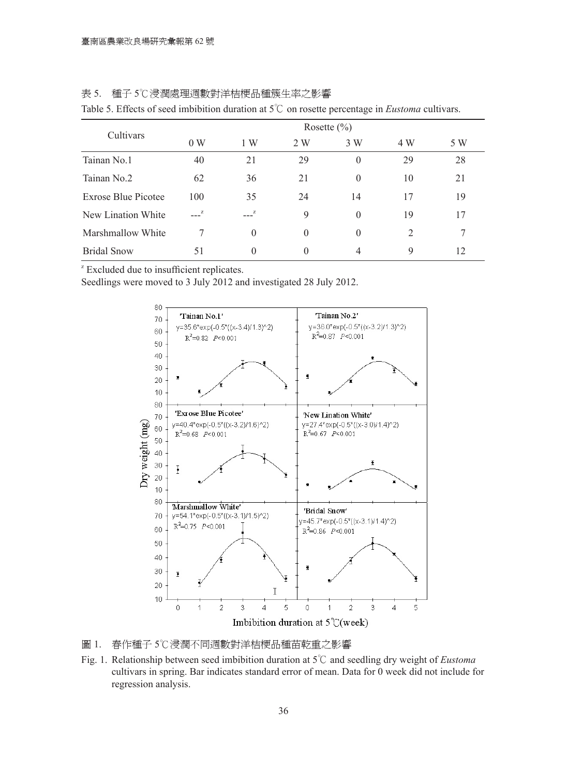| Cultivars           | Rosette $(\% )$ |          |          |          |     |     |  |  |  |
|---------------------|-----------------|----------|----------|----------|-----|-----|--|--|--|
|                     | 0 W             | 1 W      | 2 W      | 3 W      | 4 W | 5 W |  |  |  |
| Tainan No.1         | 40              | 21       | 29       | $\theta$ | 29  | 28  |  |  |  |
| Tainan No.2         | 62              | 36       | 21       | $\Omega$ | 10  | 21  |  |  |  |
| Exrose Blue Picotee | 100             | 35       | 24       | 14       | 17  | 19  |  |  |  |
| New Lination White  | $---z$          | $---z$   | 9        | $\Omega$ | 19  | 17  |  |  |  |
| Marshmallow White   | 7               | $\Omega$ | $\Omega$ | $\theta$ | 2   | 7   |  |  |  |
| <b>Bridal Snow</b>  | 51              | $\theta$ | $\Omega$ | 4        | 9   | 12  |  |  |  |

| 種子 5℃浸潤處理週數對洋桔梗品種簇生率之影響<br>表 5. |  |  |
|---------------------------------|--|--|
|---------------------------------|--|--|

Table 5. Effects of seed imbibition duration at 5℃ on rosette percentage in *Eustoma* cultivars.

<sup>z</sup> Excluded due to insufficient replicates.

Seedlings were moved to 3 July 2012 and investigated 28 July 2012.



圖 1. 春作種子 5℃浸潤不同週數對洋桔梗品種苗乾重之影響

Fig. 1. Relationship between seed imbibition duration at 5℃ and seedling dry weight of *Eustoma* cultivars in spring. Bar indicates standard error of mean. Data for 0 week did not include for regression analysis.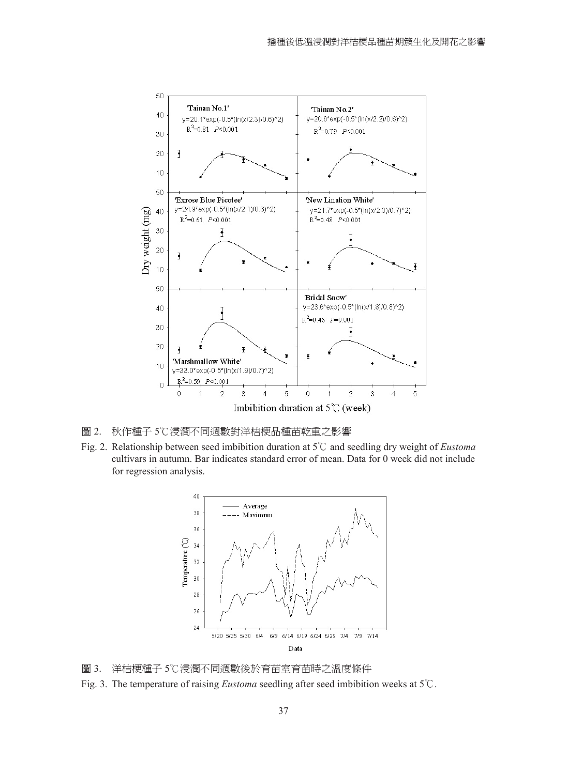

- 圖 2. 秋作種子 5℃浸潤不同週數對洋桔梗品種苗乾重之影響
- Fig. 2. Relationship between seed imbibition duration at 5℃ and seedling dry weight of *Eustoma* cultivars in autumn. Bar indicates standard error of mean. Data for 0 week did not include for regression analysis.



- 圖 3. 洋桔梗種子 5℃浸潤不同週數後於育苗室育苗時之溫度條件
- Fig. 3. The temperature of raising *Eustoma* seedling after seed imbibition weeks at 5℃.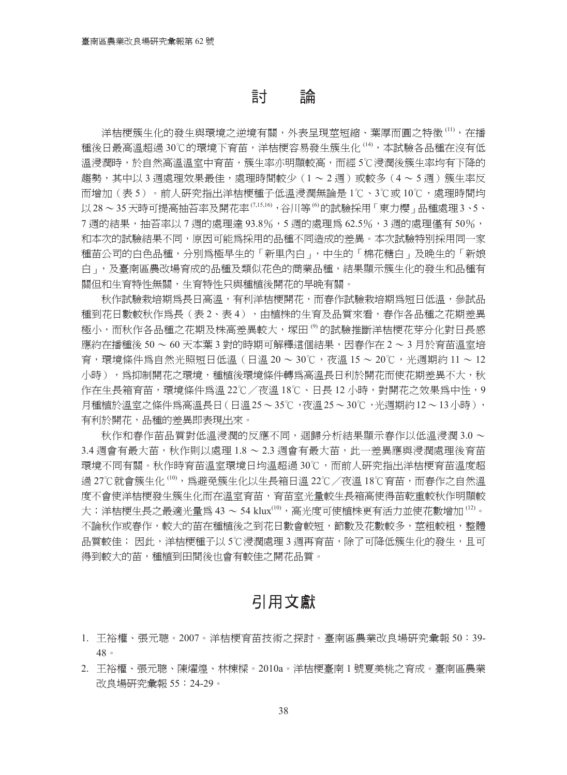## 討 論

洋桔梗簇生化的發生與環境之逆境有關,外表呈現莖短縮、葉厚而圓之特徵 <sup>(11)</sup>,在播 種後日最高溫超過 30℃的環境下育苗,洋桔梗容易發生簇生化 <sup>(14)</sup>,本試驗各品種在沒有低 溫浸潤時,於自然高溫溫室中育苗,簇生率亦明顯較高,而經 5℃浸潤後簇生率均有下降的 趨勢,其中以 3 週處理效果最佳,處理時間較少(1 ~ 2 週)或較多(4 ~ 5 週)簇生率反 而增加(表 5)。前人研究指出洋桔梗種子低溫浸潤無論是 1℃、3℃或 10℃,處理時間均 以28~35 天時可提高抽苔率及開花率<sup>(7,15,16),谷川等 <sup>(6</sup>的試驗採用 「 東力櫻 」 品種處理 3、5、</sup> 7 週的結果,抽苔率以7 週的處理達 93.8%,5 週的處理為 62.5%,3 週的處理僅有 50%, 和本次的試驗結果不同,原因可能為採用的品種不同造成的差異。本次試驗特別採用同一家 種苗公司的白色品種,分別為極早生的「新里內白」,中生的「棉花糖白」及晚生的「新娘 白」,及臺南區農改場育成的品種及類似花色的商業品種,結果顯示簇生化的發生和品種有 關但和生育特性無關,生育特性只與種植後開花的早晚有關。

秋作試驗栽培期為長日高溫,有利洋桔梗開花,而春作試驗栽培期為短日低溫,參試品 種到花日數較秋作爲長(表2、表4),由植株的生育及品質來看,春作各品種之花期差異 極小,而秋作各品種之花期及株高差異較大,塚田 <sup>(9)</sup> 的試驗推斷洋桔梗花芽分化對日長感 應約在播種後 50 ~ 60 天本葉 3 對的時期可解釋這個結果,因者作在 2 ~ 3 月於育苗溫室培 育,環境條件為自然光照短日低溫(日溫 20 ~ 30℃,夜溫 15 ~ 20℃,光週期約 11 ~ 12 小時),為抑制開花之環境,種植後環境條件轉為高溫長日利於開花而使花期差異不大,秋 作在生長箱育苗,環境條件為溫 22℃/夜溫 18℃、日長 12 小時,對開花之效果為中性,9 月種植於溫室之條件為高溫長日(日溫25~35℃,夜溫25~30℃,光週期約12~13小時), 有利於開花,品種的差異即表現出來。

秋作和春作苗品質對低溫浸潤的反應不同,迴歸分析結果顯示春作以低溫浸潤 3.0 ~ 3.4 週會有最大苗,秋作則以處理 1.8 ~ 2.3 週會有最大苗,此一差異應與浸潤處理後育苗 環境不同有關。秋作時育苗溫室環境日均溫超過 30℃,而前人研究指出洋桔梗育苗溫度超 過 27℃就會簇生化 <sup>(10)</sup>,爲避免簇生化以生長箱日溫 22℃/夜溫 18℃育苗,而春作之自然溫 度不會使洋桔梗發生簇生化而在溫室育苗,育苗室光量較生長箱高使得苗乾重較秋作明顯較 大;洋桔梗生長之最適光量爲 43 ~ 54 klux<sup>(10),</sup>高光度可使植株更有活力並使花數增加 <sup>(12)</sup>。 不論秋作或春作,較大的苗在種植後之到花日數會較短,節數及花數較多,莖粗較粗,整體 品質較佳; 因此,洋桔梗種子以 5℃浸潤處理 3 週再育苗,除了可降低簇生化的發生,且可 得到較大的苗,種植到田間後也會有較佳之開花品質。

## 引用文獻

- 1. 王裕權、張元聰。2007。洋桔梗育苗技術之探討。臺南區農業改良場研究彙報 50:39- 48。
- 2. 王裕權、張元聰、陳燿煌、林棟樑。2010a。洋桔梗臺南 1 號夏美桃之育成。臺南區農業 改良場研究彙報 55:24-29。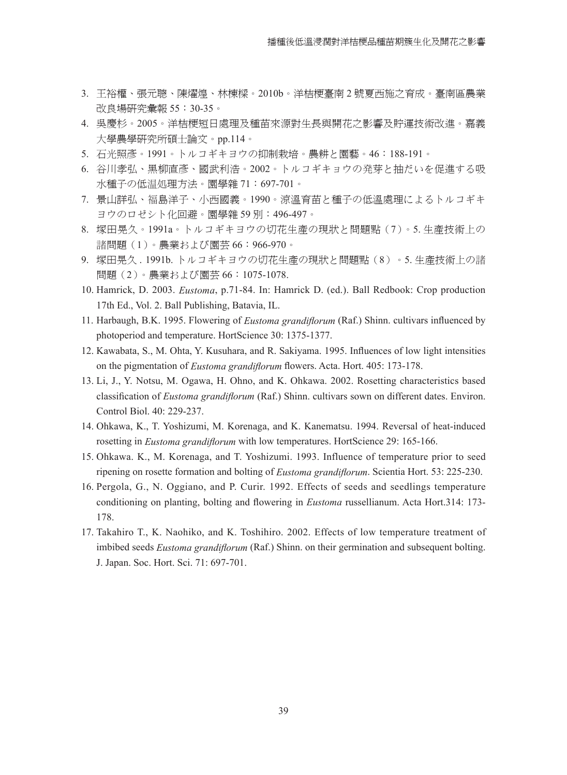- 3. 王裕權、張元聰、陳燿煌、林棟樑。2010b。洋桔梗臺南 2 號夏西施之育成。臺南區農業 改良場研究彙報 55:30-35。
- 4. 吳慶杉。2005。洋桔梗短日處理及種苗來源對生長與開花之影響及貯運技術改進。嘉義 大學農學研究所碩士論文。pp.114。
- 5. 石光照彥。1991。トルコギキヨウの抑制栽培。農耕と園藝。46:188-191。
- 6. 谷川孝弘、黑柳直彥、國武利浩。2002。トルコギキョウの発芽と抽だいを促進する吸 水種子の低温処理方法。園學雜 71:697-701。
- 7. 景山詳弘、福島洋子、小西國義。1990。涼溫育苗と種子の低溫處理によるトルコギキ ヨウのロゼシト化回避。園學雜 59 別:496-497。
- 8. 塚田晃久。1991a。トルコギキヨウの切花生產の現狀と問題點(7)。5. 生產技術上の 諸問題(1)。農業および園芸 66:966-970。
- 9. 塚田晃久 . 1991b. トルコギキヨウの切花生產の現狀と問題點(8)。5. 生產技術上の諸 問題(2)。農業および園芸 66:1075-1078.
- 10. Hamrick, D. 2003. *Eustoma*, p.71-84. In: Hamrick D. (ed.). Ball Redbook: Crop production 17th Ed., Vol. 2. Ball Publishing, Batavia, IL.
- 11. Harbaugh, B.K. 1995. Flowering of *Eustoma grandiflorum* (Raf.) Shinn. cultivars influenced by photoperiod and temperature. HortScience 30: 1375-1377.
- 12. Kawabata, S., M. Ohta, Y. Kusuhara, and R. Sakiyama. 1995. Influences of low light intensities on the pigmentation of *Eustoma grandiflorum* flowers. Acta. Hort. 405: 173-178.
- 13. Li, J., Y. Notsu, M. Ogawa, H. Ohno, and K. Ohkawa. 2002. Rosetting characteristics based classification of *Eustoma grandiflorum* (Raf.) Shinn. cultivars sown on different dates. Environ. Control Biol. 40: 229-237.
- 14. Ohkawa, K., T. Yoshizumi, M. Korenaga, and K. Kanematsu. 1994. Reversal of heat-induced rosetting in *Eustoma grandiflorum* with low temperatures. HortScience 29: 165-166.
- 15. Ohkawa. K., M. Korenaga, and T. Yoshizumi. 1993. Influence of temperature prior to seed ripening on rosette formation and bolting of *Eustoma grandiflorum*. Scientia Hort. 53: 225-230.
- 16. Pergola, G., N. Oggiano, and P. Curir. 1992. Effects of seeds and seedlings temperature conditioning on planting, bolting and flowering in *Eustoma* russellianum. Acta Hort.314: 173- 178.
- 17. Takahiro T., K. Naohiko, and K. Toshihiro. 2002. Effects of low temperature treatment of imbibed seeds *Eustoma grandiflorum* (Raf.) Shinn. on their germination and subsequent bolting. J. Japan. Soc. Hort. Sci. 71: 697-701.